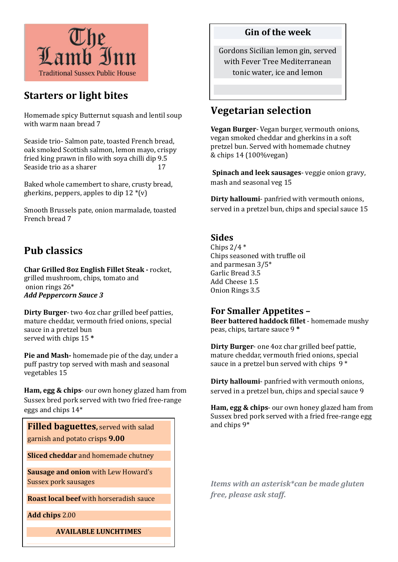

# Starters or light bites

Homemade spicy Butternut squash and lentil soup with warm naan bread 7

Seaside trio- Salmon pate, toasted French bread, oak smoked Scottish salmon, lemon mayo, crispy fried king prawn in filo with soya chilli dip 9.5 Seaside trio as a sharer 17

Baked whole camembert to share, crusty bread, gherkins, peppers, apples to dip  $12 * (v)$ 

Smooth Brussels pate, onion marmalade, toasted French bread 7

## Pub classics

Char Grilled 8oz English Fillet Steak - rocket, grilled mushroom, chips, tomato and onion rings 26\* Add Peppercorn Sauce 3

Dirty Burger- two 4oz char grilled beef patties, mature cheddar, vermouth fried onions, special sauce in a pretzel bun served with chips 15 \*

Pie and Mash- homemade pie of the day, under a puff pastry top served with mash and seasonal vegetables 15

Ham, egg & chips- our own honey glazed ham from Sussex bred pork served with two fried free-range eggs and chips 14\*

**Filled baguettes**, served with salad garnish and potato crisps 9.00

Sliced cheddar and homemade chutney

Sausage and onion with Lew Howard's Sussex pork sausages

Roast local beef with horseradish sauce

Add chips 2.00

AVAILABLE LUNCHTIMES

#### Gin of the week

Gordons Sicilian lemon gin, served with Fever Tree Mediterranean tonic water, ice and lemon

## Vegetarian selection

Vegan Burger- Vegan burger, vermouth onions, vegan smoked cheddar and gherkins in a soft pretzel bun. Served with homemade chutney & chips 14 (100%vegan)

 Spinach and leek sausages- veggie onion gravy, mash and seasonal veg 15

Dirty halloumi- panfried with vermouth onions, served in a pretzel bun, chips and special sauce 15

## Sides

Chips  $2/4$  \* Chips seasoned with truffle oil and parmesan 3/5\* Garlic Bread 3.5 Add Cheese 1.5 Onion Rings 3.5

### For Smaller Appetites –

Beer battered haddock fillet - homemade mushy peas, chips, tartare sauce 9 \*

Dirty Burger- one 4oz char grilled beef pattie, mature cheddar, vermouth fried onions, special sauce in a pretzel bun served with chips 9 \*

Dirty halloumi- panfried with vermouth onions, served in a pretzel bun, chips and special sauce 9

Ham, egg & chips- our own honey glazed ham from Sussex bred pork served with a fried free-range egg and chips 9\*

Items with an asterisk\*can be made gluten free, please ask staff.